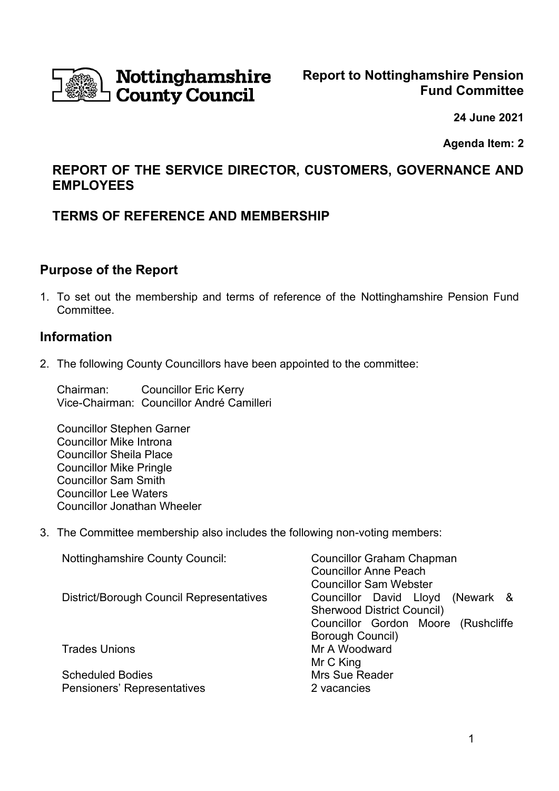

# **Nottinghamshire** County Council

**24 June 2021**

**Agenda Item: 2**

# **REPORT OF THE SERVICE DIRECTOR, CUSTOMERS, GOVERNANCE AND EMPLOYEES**

## **TERMS OF REFERENCE AND MEMBERSHIP**

## **Purpose of the Report**

1. To set out the membership and terms of reference of the Nottinghamshire Pension Fund Committee.

## **Information**

2. The following County Councillors have been appointed to the committee:

Chairman: Councillor Eric Kerry Vice-Chairman: Councillor André Camilleri

Councillor Stephen Garner Councillor Mike Introna Councillor Sheila Place Councillor Mike Pringle Councillor Sam Smith Councillor Lee Waters Councillor Jonathan Wheeler

3. The Committee membership also includes the following non-voting members:

| <b>Nottinghamshire County Council:</b>          | <b>Councillor Graham Chapman</b><br><b>Councillor Anne Peach</b> |
|-------------------------------------------------|------------------------------------------------------------------|
|                                                 | <b>Councillor Sam Webster</b>                                    |
| <b>District/Borough Council Representatives</b> | Councillor David Lloyd (Newark &                                 |
|                                                 | <b>Sherwood District Council)</b>                                |
|                                                 | Councillor Gordon Moore (Rushcliffe                              |
|                                                 | <b>Borough Council)</b>                                          |
| <b>Trades Unions</b>                            | Mr A Woodward                                                    |
|                                                 | Mr C King                                                        |
| <b>Scheduled Bodies</b>                         | <b>Mrs Sue Reader</b>                                            |
| <b>Pensioners' Representatives</b>              | 2 vacancies                                                      |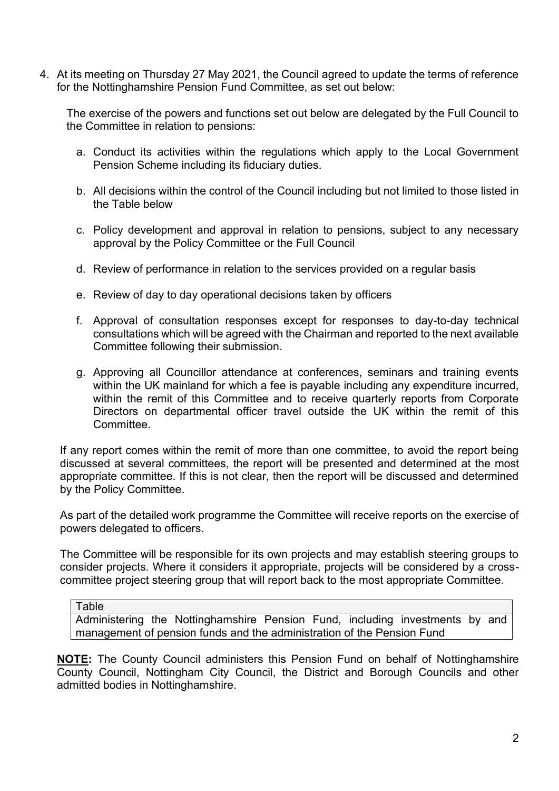4. At its meeting on Thursday 27 May 2021, the Council agreed to update the terms of reference for the Nottinghamshire Pension Fund Committee, as set out below:

The exercise of the powers and functions set out below are delegated by the Full Council to the Committee in relation to pensions:

- a. Conduct its activities within the regulations which apply to the Local Government Pension Scheme including its fiduciary duties.
- b. All decisions within the control of the Council including but not limited to those listed in the Table below
- c. Policy development and approval in relation to pensions, subject to any necessary approval by the Policy Committee or the Full Council
- d. Review of performance in relation to the services provided on a regular basis
- e. Review of day to day operational decisions taken by officers
- f. Approval of consultation responses except for responses to day-to-day technical consultations which will be agreed with the Chairman and reported to the next available Committee following their submission.
- g. Approving all Councillor attendance at conferences, seminars and training events within the UK mainland for which a fee is payable including any expenditure incurred, within the remit of this Committee and to receive quarterly reports from Corporate Directors on departmental officer travel outside the UK within the remit of this Committee.

If any report comes within the remit of more than one committee, to avoid the report being discussed at several committees, the report will be presented and determined at the most appropriate committee. If this is not clear, then the report will be discussed and determined by the Policy Committee.

As part of the detailed work programme the Committee will receive reports on the exercise of powers delegated to officers.

The Committee will be responsible for its own projects and may establish steering groups to consider projects. Where it considers it appropriate, projects will be considered by a crosscommittee project steering group that will report back to the most appropriate Committee.

Administering the Nottinghamshire Pension Fund, including investments by and management of pension funds and the administration of the Pension Fund

**NOTE:** The County Council administers this Pension Fund on behalf of Nottinghamshire County Council, Nottingham City Council, the District and Borough Councils and other admitted bodies in Nottinghamshire.

Table